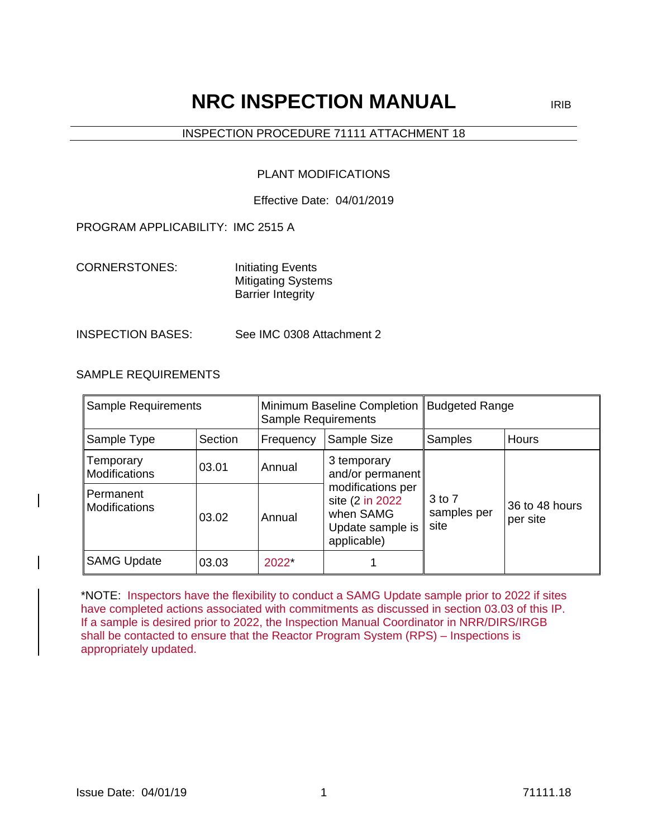# **NRC INSPECTION MANUAL** IRIB

# INSPECTION PROCEDURE 71111 ATTACHMENT 18

# PLANT MODIFICATIONS

#### Effective Date: 04/01/2019

#### PROGRAM APPLICABILITY: IMC 2515 A

CORNERSTONES: Initiating Events Mitigating Systems Barrier Integrity

#### INSPECTION BASES: See IMC 0308 Attachment 2

# SAMPLE REQUIREMENTS

| <b>Sample Requirements</b>    |         | Minimum Baseline Completion<br>Sample Requirements |                                                                                       | <b>Budgeted Range</b>         |                            |
|-------------------------------|---------|----------------------------------------------------|---------------------------------------------------------------------------------------|-------------------------------|----------------------------|
| Sample Type                   | Section | Frequency                                          | Sample Size                                                                           | Samples                       | <b>Hours</b>               |
| ∥Temporary<br>Modifications   | 03.01   | Annual                                             | 3 temporary<br>and/or permanent                                                       |                               |                            |
| ll Permanent<br>Modifications | 03.02   | Annual                                             | modifications per<br>site (2 in 2022)<br>when SAMG<br>Update sample is<br>applicable) | 3 to 7<br>samples per<br>site | 36 to 48 hours<br>per site |
| <b>SAMG Update</b>            | 03.03   | $2022^{\circ}$                                     |                                                                                       |                               |                            |

\*NOTE: Inspectors have the flexibility to conduct a SAMG Update sample prior to 2022 if sites have completed actions associated with commitments as discussed in section 03.03 of this IP. If a sample is desired prior to 2022, the Inspection Manual Coordinator in NRR/DIRS/IRGB shall be contacted to ensure that the Reactor Program System (RPS) – Inspections is appropriately updated.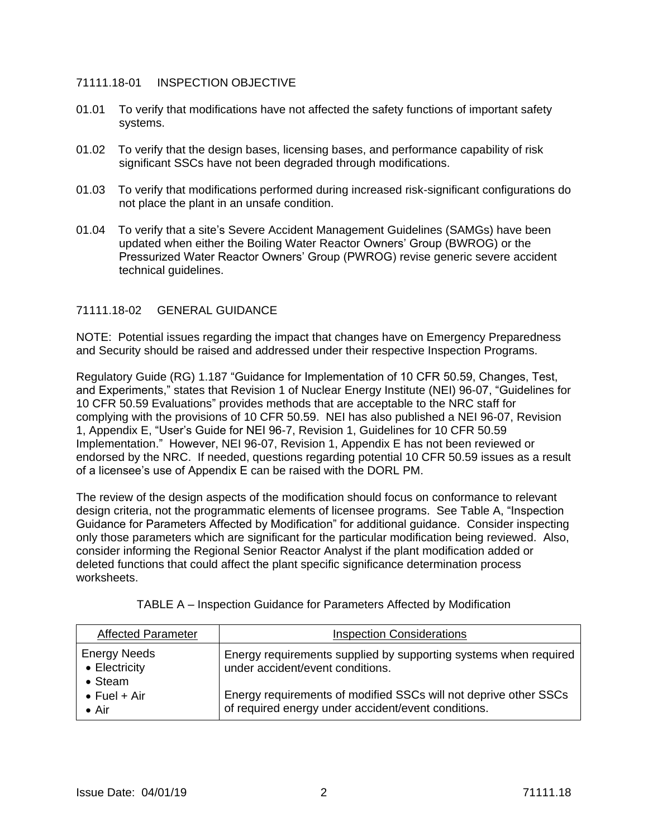#### 71111.18-01 INSPECTION OBJECTIVE

- 01.01 To verify that modifications have not affected the safety functions of important safety systems.
- 01.02 To verify that the design bases, licensing bases, and performance capability of risk significant SSCs have not been degraded through modifications.
- 01.03 To verify that modifications performed during increased risk-significant configurations do not place the plant in an unsafe condition.
- 01.04 To verify that a site's Severe Accident Management Guidelines (SAMGs) have been updated when either the Boiling Water Reactor Owners' Group (BWROG) or the Pressurized Water Reactor Owners' Group (PWROG) revise generic severe accident technical quidelines.

# 71111.18-02 GENERAL GUIDANCE

NOTE: Potential issues regarding the impact that changes have on Emergency Preparedness and Security should be raised and addressed under their respective Inspection Programs.

Regulatory Guide (RG) 1.187 "Guidance for Implementation of 10 CFR 50.59, Changes, Test, and Experiments," states that Revision 1 of Nuclear Energy Institute (NEI) 96-07, "Guidelines for 10 CFR 50.59 Evaluations" provides methods that are acceptable to the NRC staff for complying with the provisions of 10 CFR 50.59. NEI has also published a NEI 96-07, Revision 1, Appendix E, "User's Guide for NEI 96-7, Revision 1, Guidelines for 10 CFR 50.59 Implementation." However, NEI 96-07, Revision 1, Appendix E has not been reviewed or endorsed by the NRC. If needed, questions regarding potential 10 CFR 50.59 issues as a result of a licensee's use of Appendix E can be raised with the DORL PM.

The review of the design aspects of the modification should focus on conformance to relevant design criteria, not the programmatic elements of licensee programs. See Table A, "Inspection Guidance for Parameters Affected by Modification" for additional guidance. Consider inspecting only those parameters which are significant for the particular modification being reviewed. Also, consider informing the Regional Senior Reactor Analyst if the plant modification added or deleted functions that could affect the plant specific significance determination process worksheets.

| <b>Affected Parameter</b>                               | <b>Inspection Considerations</b>                                                                                        |
|---------------------------------------------------------|-------------------------------------------------------------------------------------------------------------------------|
| <b>Energy Needs</b><br>• Electricity<br>$\bullet$ Steam | Energy requirements supplied by supporting systems when required<br>under accident/event conditions.                    |
| $\bullet$ Fuel + Air<br>$\bullet$ Air                   | Energy requirements of modified SSCs will not deprive other SSCs<br>of required energy under accident/event conditions. |

TABLE A – Inspection Guidance for Parameters Affected by Modification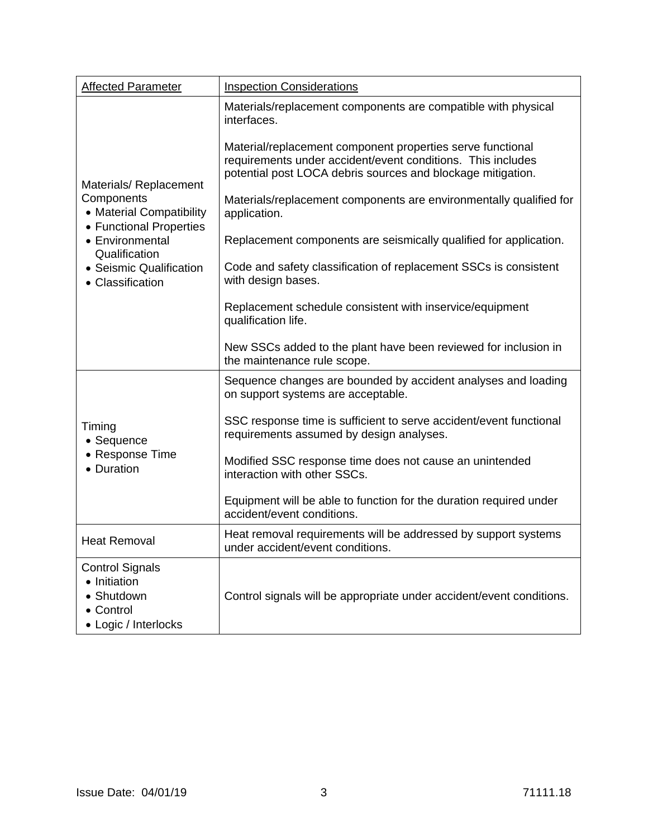| <b>Affected Parameter</b>                                                                 | <b>Inspection Considerations</b>                                                                                                                                                         |
|-------------------------------------------------------------------------------------------|------------------------------------------------------------------------------------------------------------------------------------------------------------------------------------------|
|                                                                                           | Materials/replacement components are compatible with physical<br>interfaces.                                                                                                             |
| Materials/Replacement                                                                     | Material/replacement component properties serve functional<br>requirements under accident/event conditions. This includes<br>potential post LOCA debris sources and blockage mitigation. |
| Components<br>• Material Compatibility                                                    | Materials/replacement components are environmentally qualified for<br>application.                                                                                                       |
| • Functional Properties<br>• Environmental<br>Qualification                               | Replacement components are seismically qualified for application.                                                                                                                        |
| • Seismic Qualification<br>• Classification                                               | Code and safety classification of replacement SSCs is consistent<br>with design bases.                                                                                                   |
|                                                                                           | Replacement schedule consistent with inservice/equipment<br>qualification life.                                                                                                          |
|                                                                                           | New SSCs added to the plant have been reviewed for inclusion in<br>the maintenance rule scope.                                                                                           |
|                                                                                           | Sequence changes are bounded by accident analyses and loading<br>on support systems are acceptable.                                                                                      |
| Timing<br>• Sequence                                                                      | SSC response time is sufficient to serve accident/event functional<br>requirements assumed by design analyses.                                                                           |
| • Response Time<br>• Duration                                                             | Modified SSC response time does not cause an unintended<br>interaction with other SSCs.                                                                                                  |
|                                                                                           | Equipment will be able to function for the duration required under<br>accident/event conditions.                                                                                         |
| <b>Heat Removal</b>                                                                       | Heat removal requirements will be addressed by support systems<br>under accident/event conditions.                                                                                       |
| <b>Control Signals</b><br>• Initiation<br>• Shutdown<br>• Control<br>• Logic / Interlocks | Control signals will be appropriate under accident/event conditions.                                                                                                                     |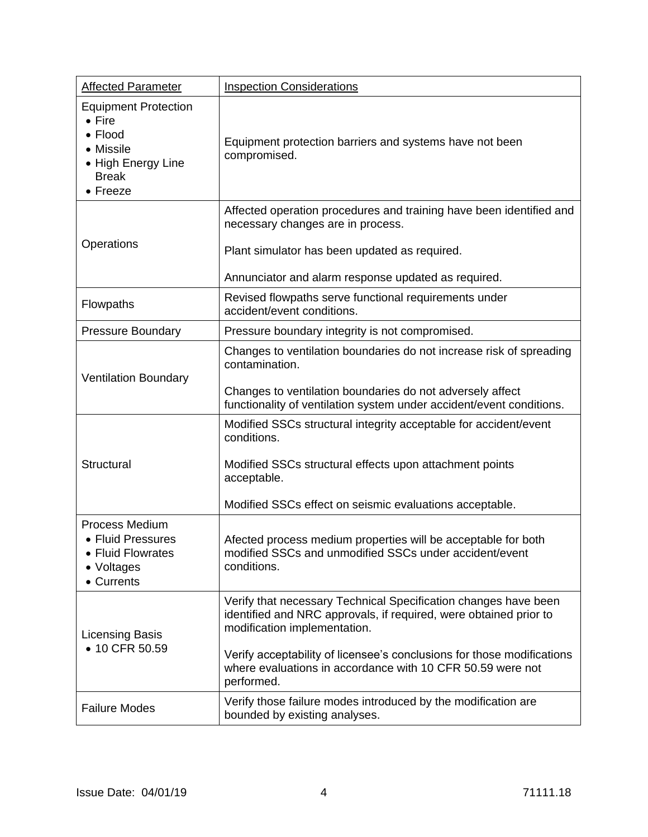| <b>Affected Parameter</b>                                                                                                       | <b>Inspection Considerations</b>                                                                                                                                                                                                                                                                                           |
|---------------------------------------------------------------------------------------------------------------------------------|----------------------------------------------------------------------------------------------------------------------------------------------------------------------------------------------------------------------------------------------------------------------------------------------------------------------------|
| <b>Equipment Protection</b><br>$\bullet$ Fire<br>$\bullet$ Flood<br>• Missile<br>• High Energy Line<br><b>Break</b><br>• Freeze | Equipment protection barriers and systems have not been<br>compromised.                                                                                                                                                                                                                                                    |
| Operations                                                                                                                      | Affected operation procedures and training have been identified and<br>necessary changes are in process.<br>Plant simulator has been updated as required.                                                                                                                                                                  |
|                                                                                                                                 | Annunciator and alarm response updated as required.                                                                                                                                                                                                                                                                        |
| Flowpaths                                                                                                                       | Revised flowpaths serve functional requirements under<br>accident/event conditions.                                                                                                                                                                                                                                        |
| <b>Pressure Boundary</b>                                                                                                        | Pressure boundary integrity is not compromised.                                                                                                                                                                                                                                                                            |
| <b>Ventilation Boundary</b>                                                                                                     | Changes to ventilation boundaries do not increase risk of spreading<br>contamination.<br>Changes to ventilation boundaries do not adversely affect<br>functionality of ventilation system under accident/event conditions.                                                                                                 |
| Structural                                                                                                                      | Modified SSCs structural integrity acceptable for accident/event<br>conditions.<br>Modified SSCs structural effects upon attachment points<br>acceptable.<br>Modified SSCs effect on seismic evaluations acceptable.                                                                                                       |
| Process Medium<br>• Fluid Pressures<br>• Fluid Flowrates<br>• Voltages<br>• Currents                                            | Afected process medium properties will be acceptable for both<br>modified SSCs and unmodified SSCs under accident/event<br>conditions.                                                                                                                                                                                     |
| Licensing Basis<br>• 10 CFR 50.59                                                                                               | Verify that necessary Technical Specification changes have been<br>identified and NRC approvals, if required, were obtained prior to<br>modification implementation.<br>Verify acceptability of licensee's conclusions for those modifications<br>where evaluations in accordance with 10 CFR 50.59 were not<br>performed. |
| <b>Failure Modes</b>                                                                                                            | Verify those failure modes introduced by the modification are<br>bounded by existing analyses.                                                                                                                                                                                                                             |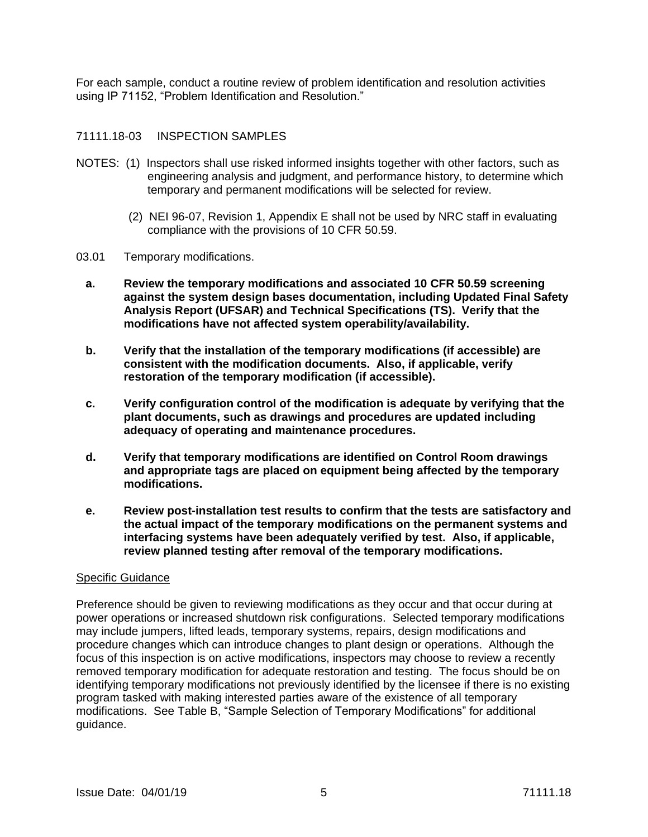For each sample, conduct a routine review of problem identification and resolution activities using IP 71152, "Problem Identification and Resolution."

#### 71111.18-03 INSPECTION SAMPLES

- NOTES: (1)Inspectors shall use risked informed insights together with other factors, such as engineering analysis and judgment, and performance history, to determine which temporary and permanent modifications will be selected for review.
	- (2) NEI 96-07, Revision 1, Appendix E shall not be used by NRC staff in evaluating compliance with the provisions of 10 CFR 50.59.
- 03.01 Temporary modifications.
	- **a. Review the temporary modifications and associated 10 CFR 50.59 screening against the system design bases documentation, including Updated Final Safety Analysis Report (UFSAR) and Technical Specifications (TS). Verify that the modifications have not affected system operability/availability.**
	- **b. Verify that the installation of the temporary modifications (if accessible) are consistent with the modification documents. Also, if applicable, verify restoration of the temporary modification (if accessible).**
	- **c. Verify configuration control of the modification is adequate by verifying that the plant documents, such as drawings and procedures are updated including adequacy of operating and maintenance procedures.**
	- **d. Verify that temporary modifications are identified on Control Room drawings and appropriate tags are placed on equipment being affected by the temporary modifications.**
	- **e. Review post-installation test results to confirm that the tests are satisfactory and the actual impact of the temporary modifications on the permanent systems and interfacing systems have been adequately verified by test. Also, if applicable, review planned testing after removal of the temporary modifications.**

#### Specific Guidance

Preference should be given to reviewing modifications as they occur and that occur during at power operations or increased shutdown risk configurations. Selected temporary modifications may include jumpers, lifted leads, temporary systems, repairs, design modifications and procedure changes which can introduce changes to plant design or operations. Although the focus of this inspection is on active modifications, inspectors may choose to review a recently removed temporary modification for adequate restoration and testing. The focus should be on identifying temporary modifications not previously identified by the licensee if there is no existing program tasked with making interested parties aware of the existence of all temporary modifications. See Table B, "Sample Selection of Temporary Modifications" for additional guidance.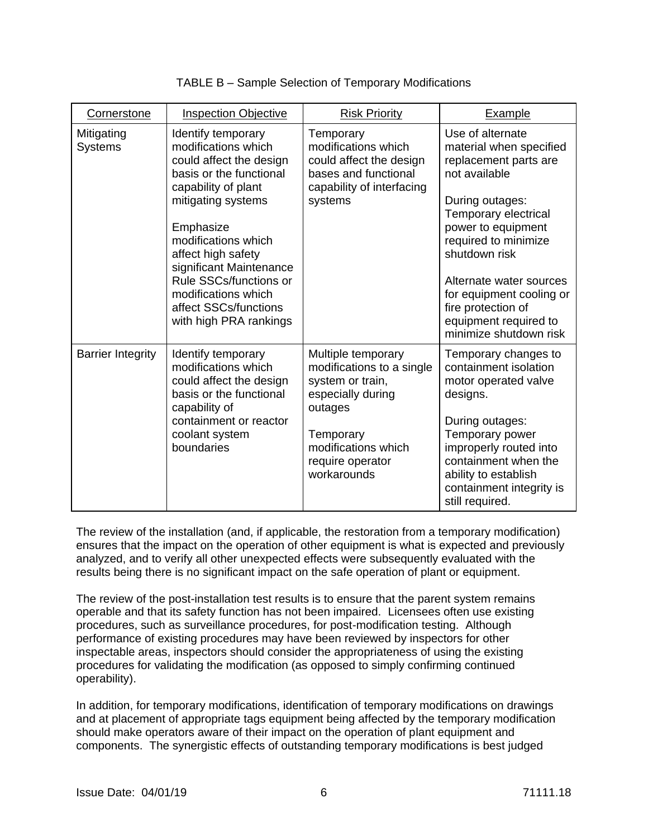| Cornerstone                  | <b>Inspection Objective</b>                                                                                                                                                                                                                                                                                                           | <b>Risk Priority</b>                                                                                                                                                       | Example                                                                                                                                                                                                                                                                                                                         |
|------------------------------|---------------------------------------------------------------------------------------------------------------------------------------------------------------------------------------------------------------------------------------------------------------------------------------------------------------------------------------|----------------------------------------------------------------------------------------------------------------------------------------------------------------------------|---------------------------------------------------------------------------------------------------------------------------------------------------------------------------------------------------------------------------------------------------------------------------------------------------------------------------------|
| Mitigating<br><b>Systems</b> | Identify temporary<br>modifications which<br>could affect the design<br>basis or the functional<br>capability of plant<br>mitigating systems<br>Emphasize<br>modifications which<br>affect high safety<br>significant Maintenance<br>Rule SSCs/functions or<br>modifications which<br>affect SSCs/functions<br>with high PRA rankings | Temporary<br>modifications which<br>could affect the design<br>bases and functional<br>capability of interfacing<br>systems                                                | Use of alternate<br>material when specified<br>replacement parts are<br>not available<br>During outages:<br>Temporary electrical<br>power to equipment<br>required to minimize<br>shutdown risk<br>Alternate water sources<br>for equipment cooling or<br>fire protection of<br>equipment required to<br>minimize shutdown risk |
| <b>Barrier Integrity</b>     | Identify temporary<br>modifications which<br>could affect the design<br>basis or the functional<br>capability of<br>containment or reactor<br>coolant system<br>boundaries                                                                                                                                                            | Multiple temporary<br>modifications to a single<br>system or train,<br>especially during<br>outages<br>Temporary<br>modifications which<br>require operator<br>workarounds | Temporary changes to<br>containment isolation<br>motor operated valve<br>designs.<br>During outages:<br>Temporary power<br>improperly routed into<br>containment when the<br>ability to establish<br>containment integrity is<br>still required.                                                                                |

| TABLE B - Sample Selection of Temporary Modifications |
|-------------------------------------------------------|
|-------------------------------------------------------|

The review of the installation (and, if applicable, the restoration from a temporary modification) ensures that the impact on the operation of other equipment is what is expected and previously analyzed, and to verify all other unexpected effects were subsequently evaluated with the results being there is no significant impact on the safe operation of plant or equipment.

The review of the post-installation test results is to ensure that the parent system remains operable and that its safety function has not been impaired. Licensees often use existing procedures, such as surveillance procedures, for post-modification testing. Although performance of existing procedures may have been reviewed by inspectors for other inspectable areas, inspectors should consider the appropriateness of using the existing procedures for validating the modification (as opposed to simply confirming continued operability).

In addition, for temporary modifications, identification of temporary modifications on drawings and at placement of appropriate tags equipment being affected by the temporary modification should make operators aware of their impact on the operation of plant equipment and components. The synergistic effects of outstanding temporary modifications is best judged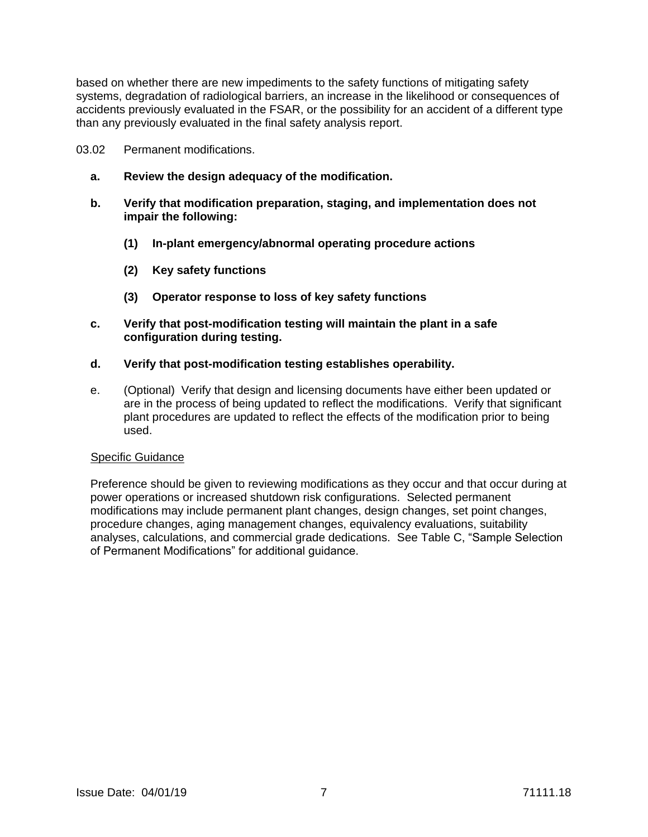based on whether there are new impediments to the safety functions of mitigating safety systems, degradation of radiological barriers, an increase in the likelihood or consequences of accidents previously evaluated in the FSAR, or the possibility for an accident of a different type than any previously evaluated in the final safety analysis report.

- 03.02 Permanent modifications.
	- **a. Review the design adequacy of the modification.**
	- **b. Verify that modification preparation, staging, and implementation does not impair the following:**
		- **(1) In-plant emergency/abnormal operating procedure actions**
		- **(2) Key safety functions**
		- **(3) Operator response to loss of key safety functions**
	- **c. Verify that post-modification testing will maintain the plant in a safe configuration during testing.**
	- **d. Verify that post-modification testing establishes operability.**
	- e. (Optional) Verify that design and licensing documents have either been updated or are in the process of being updated to reflect the modifications. Verify that significant plant procedures are updated to reflect the effects of the modification prior to being used.

#### Specific Guidance

Preference should be given to reviewing modifications as they occur and that occur during at power operations or increased shutdown risk configurations. Selected permanent modifications may include permanent plant changes, design changes, set point changes, procedure changes, aging management changes, equivalency evaluations, suitability analyses, calculations, and commercial grade dedications. See Table C, "Sample Selection of Permanent Modifications" for additional guidance.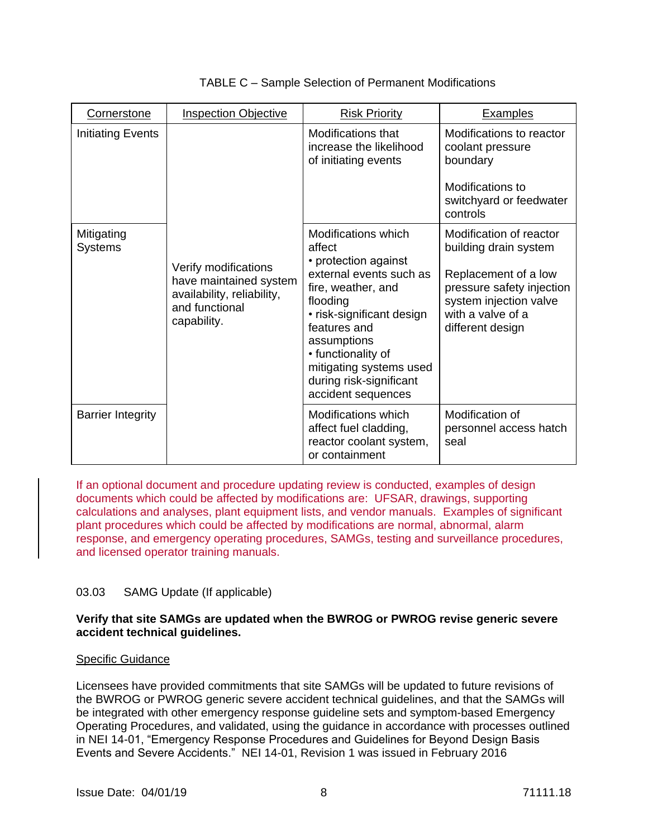| Cornerstone                  | <b>Inspection Objective</b>                                                                                   | <b>Risk Priority</b>                                                                                                                                                                                                                                                             | <b>Examples</b>                                                                                                                                                          |
|------------------------------|---------------------------------------------------------------------------------------------------------------|----------------------------------------------------------------------------------------------------------------------------------------------------------------------------------------------------------------------------------------------------------------------------------|--------------------------------------------------------------------------------------------------------------------------------------------------------------------------|
| <b>Initiating Events</b>     |                                                                                                               | <b>Modifications that</b><br>increase the likelihood<br>of initiating events                                                                                                                                                                                                     | Modifications to reactor<br>coolant pressure<br>boundary<br>Modifications to<br>switchyard or feedwater<br>controls                                                      |
| Mitigating<br><b>Systems</b> | Verify modifications<br>have maintained system<br>availability, reliability,<br>and functional<br>capability. | Modifications which<br>affect<br>• protection against<br>external events such as<br>fire, weather, and<br>flooding<br>• risk-significant design<br>features and<br>assumptions<br>• functionality of<br>mitigating systems used<br>during risk-significant<br>accident sequences | Modification of reactor<br>building drain system<br>Replacement of a low<br>pressure safety injection<br>system injection valve<br>with a valve of a<br>different design |
| <b>Barrier Integrity</b>     |                                                                                                               | Modifications which<br>affect fuel cladding,<br>reactor coolant system,<br>or containment                                                                                                                                                                                        | Modification of<br>personnel access hatch<br>seal                                                                                                                        |

# TABLE C – Sample Selection of Permanent Modifications

If an optional document and procedure updating review is conducted, examples of design documents which could be affected by modifications are: UFSAR, drawings, supporting calculations and analyses, plant equipment lists, and vendor manuals. Examples of significant plant procedures which could be affected by modifications are normal, abnormal, alarm response, and emergency operating procedures, SAMGs, testing and surveillance procedures, and licensed operator training manuals.

# 03.03 SAMG Update (If applicable)

#### **Verify that site SAMGs are updated when the BWROG or PWROG revise generic severe accident technical guidelines.**

#### Specific Guidance

Licensees have provided commitments that site SAMGs will be updated to future revisions of the BWROG or PWROG generic severe accident technical guidelines, and that the SAMGs will be integrated with other emergency response guideline sets and symptom-based Emergency Operating Procedures, and validated, using the guidance in accordance with processes outlined in NEI 14-01, "Emergency Response Procedures and Guidelines for Beyond Design Basis Events and Severe Accidents." NEI 14-01, Revision 1 was issued in February 2016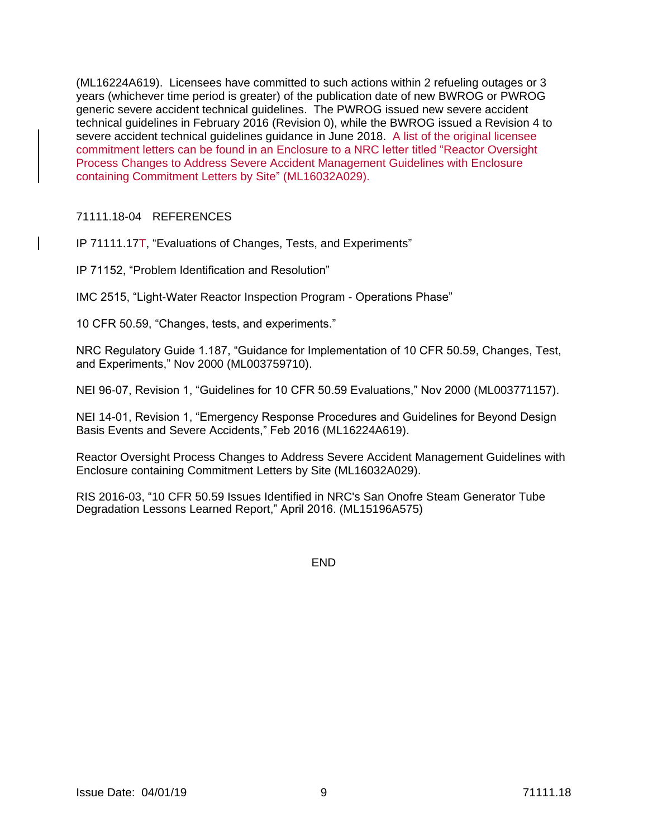(ML16224A619). Licensees have committed to such actions within 2 refueling outages or 3 years (whichever time period is greater) of the publication date of new BWROG or PWROG generic severe accident technical guidelines. The PWROG issued new severe accident technical guidelines in February 2016 (Revision 0), while the BWROG issued a Revision 4 to severe accident technical guidelines guidance in June 2018. A list of the original licensee commitment letters can be found in an Enclosure to a NRC letter titled "Reactor Oversight Process Changes to Address Severe Accident Management Guidelines with Enclosure containing Commitment Letters by Site" (ML16032A029).

#### 71111.18-04 REFERENCES

IP 71111.17T, "Evaluations of Changes, Tests, and Experiments"

IP 71152, "Problem Identification and Resolution"

IMC 2515, "Light-Water Reactor Inspection Program - Operations Phase"

10 CFR 50.59, "Changes, tests, and experiments."

NRC Regulatory Guide 1.187, "Guidance for Implementation of 10 CFR 50.59, Changes, Test, and Experiments," Nov 2000 (ML003759710).

NEI 96-07, Revision 1, "Guidelines for 10 CFR 50.59 Evaluations," Nov 2000 (ML003771157).

NEI 14-01, Revision 1, "Emergency Response Procedures and Guidelines for Beyond Design Basis Events and Severe Accidents," Feb 2016 (ML16224A619).

Reactor Oversight Process Changes to Address Severe Accident Management Guidelines with Enclosure containing Commitment Letters by Site (ML16032A029).

RIS 2016-03, "10 CFR 50.59 Issues Identified in NRC's San Onofre Steam Generator Tube Degradation Lessons Learned Report," April 2016. (ML15196A575)

END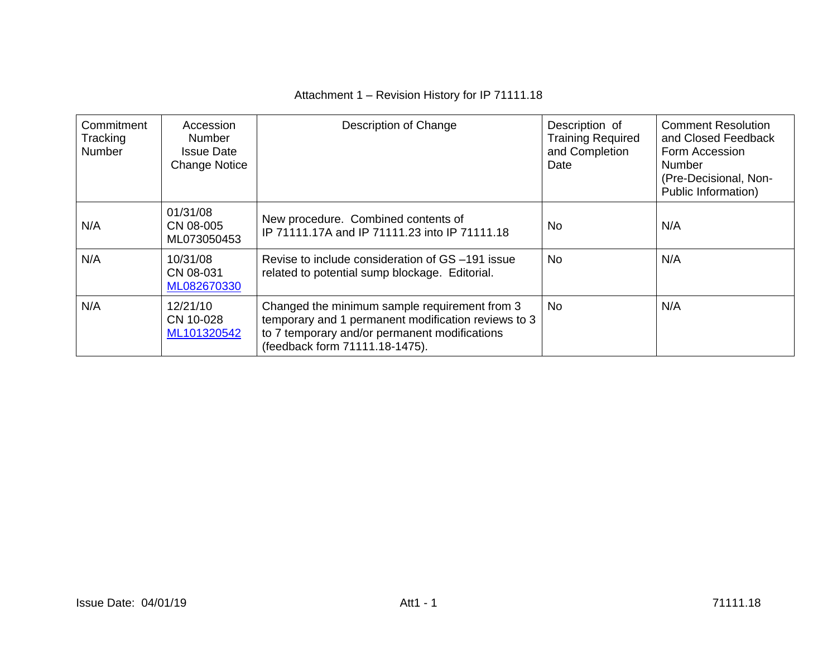# Attachment 1 – Revision History for IP 71111.18

| Commitment<br>Tracking<br>Number | Accession<br><b>Number</b><br><b>Issue Date</b><br><b>Change Notice</b> | Description of Change                                                                                                                                                                   | Description of<br><b>Training Required</b><br>and Completion<br>Date | <b>Comment Resolution</b><br>and Closed Feedback<br>Form Accession<br><b>Number</b><br>(Pre-Decisional, Non-<br>Public Information) |
|----------------------------------|-------------------------------------------------------------------------|-----------------------------------------------------------------------------------------------------------------------------------------------------------------------------------------|----------------------------------------------------------------------|-------------------------------------------------------------------------------------------------------------------------------------|
| N/A                              | 01/31/08<br>CN 08-005<br>ML073050453                                    | New procedure. Combined contents of<br>IP 71111.17A and IP 71111.23 into IP 71111.18                                                                                                    | <b>No</b>                                                            | N/A                                                                                                                                 |
| N/A                              | 10/31/08<br>CN 08-031<br>ML082670330                                    | Revise to include consideration of GS-191 issue<br>related to potential sump blockage. Editorial.                                                                                       | <b>No</b>                                                            | N/A                                                                                                                                 |
| N/A                              | 12/21/10<br>CN 10-028<br>ML101320542                                    | Changed the minimum sample requirement from 3<br>temporary and 1 permanent modification reviews to 3<br>to 7 temporary and/or permanent modifications<br>(feedback form 71111.18-1475). | No                                                                   | N/A                                                                                                                                 |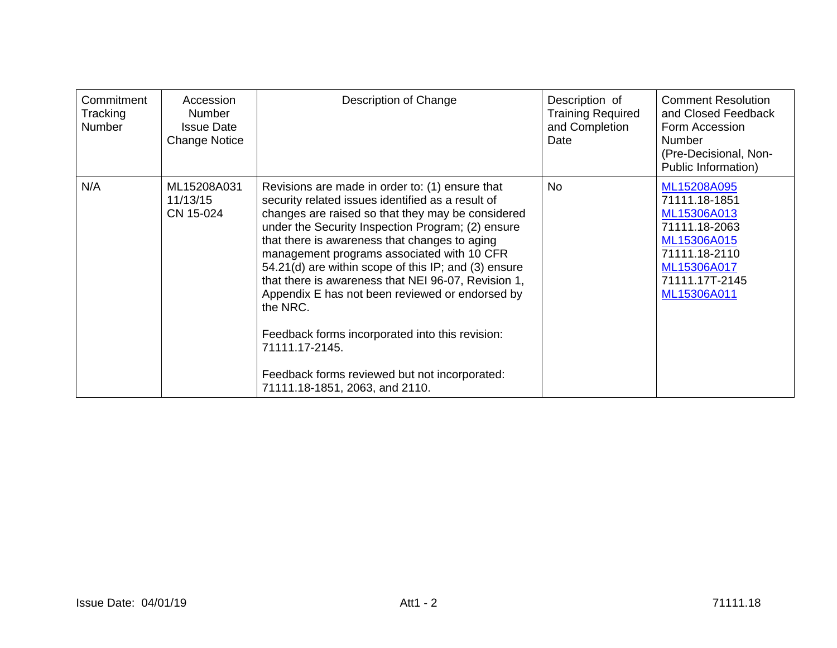| Commitment<br>Tracking<br><b>Number</b> | Accession<br>Number<br><b>Issue Date</b><br><b>Change Notice</b> | Description of Change                                                                                                                                                                                                                                                                                                                                                                                                                                                                                                                                                                                                                               | Description of<br><b>Training Required</b><br>and Completion<br>Date | <b>Comment Resolution</b><br>and Closed Feedback<br>Form Accession<br><b>Number</b><br>(Pre-Decisional, Non-<br>Public Information)          |
|-----------------------------------------|------------------------------------------------------------------|-----------------------------------------------------------------------------------------------------------------------------------------------------------------------------------------------------------------------------------------------------------------------------------------------------------------------------------------------------------------------------------------------------------------------------------------------------------------------------------------------------------------------------------------------------------------------------------------------------------------------------------------------------|----------------------------------------------------------------------|----------------------------------------------------------------------------------------------------------------------------------------------|
| N/A                                     | ML15208A031<br>11/13/15<br>CN 15-024                             | Revisions are made in order to: (1) ensure that<br>security related issues identified as a result of<br>changes are raised so that they may be considered<br>under the Security Inspection Program; (2) ensure<br>that there is awareness that changes to aging<br>management programs associated with 10 CFR<br>54.21(d) are within scope of this IP; and (3) ensure<br>that there is awareness that NEI 96-07, Revision 1,<br>Appendix E has not been reviewed or endorsed by<br>the NRC.<br>Feedback forms incorporated into this revision:<br>71111.17-2145.<br>Feedback forms reviewed but not incorporated:<br>71111.18-1851, 2063, and 2110. | <b>No</b>                                                            | ML15208A095<br>71111.18-1851<br>ML15306A013<br>71111.18-2063<br>ML15306A015<br>71111.18-2110<br>ML15306A017<br>71111.17T-2145<br>ML15306A011 |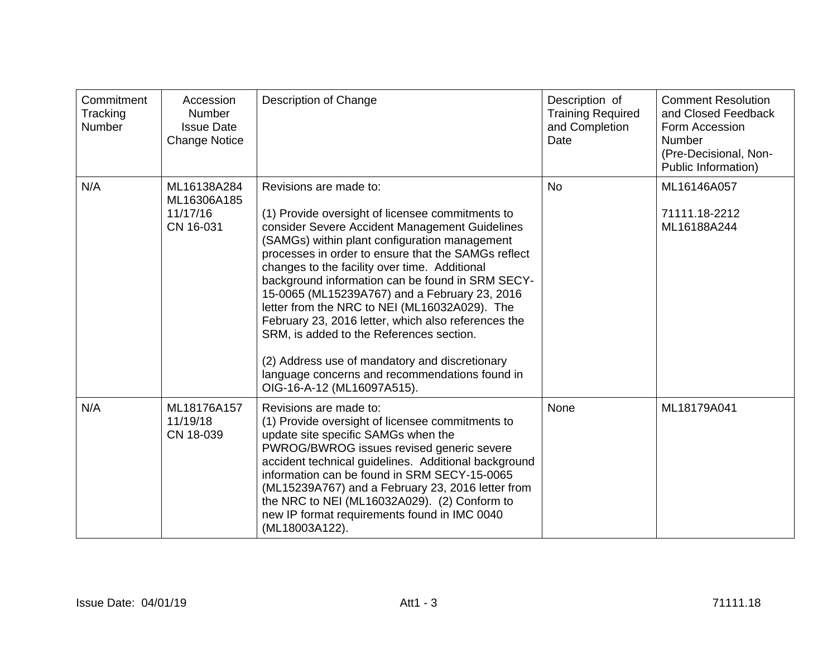| Commitment<br>Tracking<br>Number | Accession<br><b>Number</b><br><b>Issue Date</b><br><b>Change Notice</b> | Description of Change                                                                                                                                                                                                                                                                                                                                                                                                                                                                                                                                                                                                                                                            | Description of<br><b>Training Required</b><br>and Completion<br>Date | <b>Comment Resolution</b><br>and Closed Feedback<br>Form Accession<br><b>Number</b><br>(Pre-Decisional, Non-<br>Public Information) |
|----------------------------------|-------------------------------------------------------------------------|----------------------------------------------------------------------------------------------------------------------------------------------------------------------------------------------------------------------------------------------------------------------------------------------------------------------------------------------------------------------------------------------------------------------------------------------------------------------------------------------------------------------------------------------------------------------------------------------------------------------------------------------------------------------------------|----------------------------------------------------------------------|-------------------------------------------------------------------------------------------------------------------------------------|
| N/A                              | ML16138A284<br>ML16306A185<br>11/17/16<br>CN 16-031                     | Revisions are made to:<br>(1) Provide oversight of licensee commitments to<br>consider Severe Accident Management Guidelines<br>(SAMGs) within plant configuration management<br>processes in order to ensure that the SAMGs reflect<br>changes to the facility over time. Additional<br>background information can be found in SRM SECY-<br>15-0065 (ML15239A767) and a February 23, 2016<br>letter from the NRC to NEI (ML16032A029). The<br>February 23, 2016 letter, which also references the<br>SRM, is added to the References section.<br>(2) Address use of mandatory and discretionary<br>language concerns and recommendations found in<br>OIG-16-A-12 (ML16097A515). | <b>No</b>                                                            | ML16146A057<br>71111.18-2212<br>ML16188A244                                                                                         |
| N/A                              | ML18176A157<br>11/19/18<br>CN 18-039                                    | Revisions are made to:<br>(1) Provide oversight of licensee commitments to<br>update site specific SAMGs when the<br>PWROG/BWROG issues revised generic severe<br>accident technical guidelines. Additional background<br>information can be found in SRM SECY-15-0065<br>(ML15239A767) and a February 23, 2016 letter from<br>the NRC to NEI (ML16032A029). (2) Conform to<br>new IP format requirements found in IMC 0040<br>(ML18003A122).                                                                                                                                                                                                                                    | None                                                                 | ML18179A041                                                                                                                         |